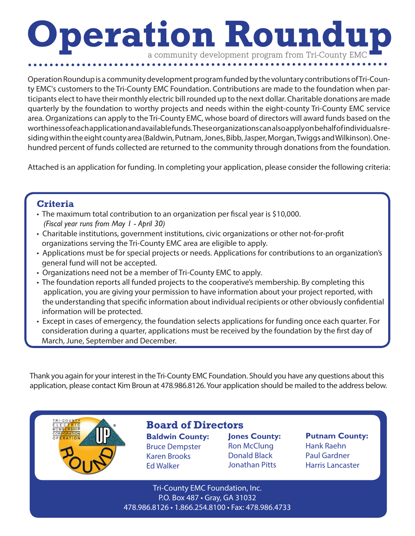## **Operation Roundu** a community development program from Tri-County EM

Operation Roundup is a community development program funded by the voluntary contributions of Tri-County EMC's customers to the Tri-County EMC Foundation. Contributions are made to the foundation when participants elect to have their monthly electric bill rounded up to the next dollar. Charitable donations are made quarterly by the foundation to worthy projects and needs within the eight-county Tri-County EMC service area. Organizations can apply to the Tri-County EMC, whose board of directors will award funds based on the worthiness of each application and available funds. These organizations can also apply on behalf of individuals residing within the eight county area (Baldwin, Putnam, Jones, Bibb, Jasper, Morgan, Twiggs and Wilkinson). Onehundred percent of funds collected are returned to the community through donations from the foundation.

Attached is an application for funding. In completing your application, please consider the following criteria:

## **Criteria**

- The maximum total contribution to an organization per fiscal year is \$10,000. *(Fiscal year runs from May 1 - April 30)*
- Charitable institutions, government institutions, civic organizations or other not-for-profit organizations serving the Tri-County EMC area are eligible to apply.
- Applications must be for special projects or needs. Applications for contributions to an organization's general fund will not be accepted.
- Organizations need not be a member of Tri-County EMC to apply.
- The foundation reports all funded projects to the cooperative's membership. By completing this application, you are giving your permission to have information about your project reported, with the understanding that specific information about individual recipients or other obviously confidential information will be protected.
- Except in cases of emergency, the foundation selects applications for funding once each quarter. For consideration during a quarter, applications must be received by the foundation by the first day of March, June, September and December.

Thank you again for your interest in the Tri-County EMC Foundation. Should you have any questions about this application, please contact Kim Broun at 478.986.8126. Your application should be mailed to the address below.



## **Board of Directors:**

**Baldwin County:** Bruce Dempster Karen Brooks Ed Walker

**Jones County:** Ron McClung Donald Black Jonathan Pitts

**Putnam County:**  Hank Raehn Paul Gardner Harris Lancaster

Tri-County EMC Foundation, Inc. P.O. Box 487 • Gray, GA 31032 478.986.8126 • 1.866.254.8100 • Fax: 478.986.4733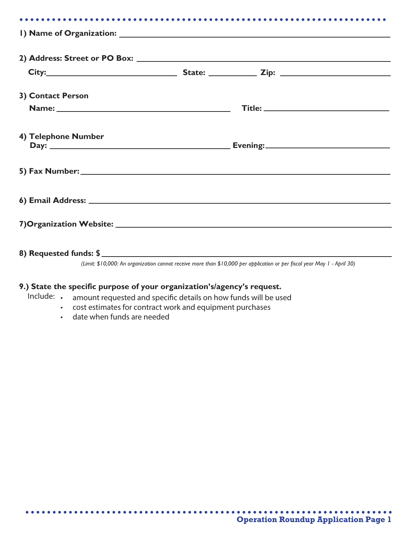| 3) Contact Person      |  |  |
|------------------------|--|--|
|                        |  |  |
| 4) Telephone Number    |  |  |
|                        |  |  |
|                        |  |  |
|                        |  |  |
| 8) Requested funds: \$ |  |  |

*(Limit: \$10,000: An organization cannot receive more than \$10,000 per application or per fiscal year May 1 - April 30)*

## **9.) State the specific purpose of your organization's/agency's request.**

- Include: • amount requested and specific details on how funds will be used
	- cost estimates for contract work and equipment purchases
	- date when funds are needed

 $\begin{array}{cccccccccccccc} \bullet & \bullet & \bullet & \bullet & \bullet & \bullet & \bullet & \bullet \end{array}$